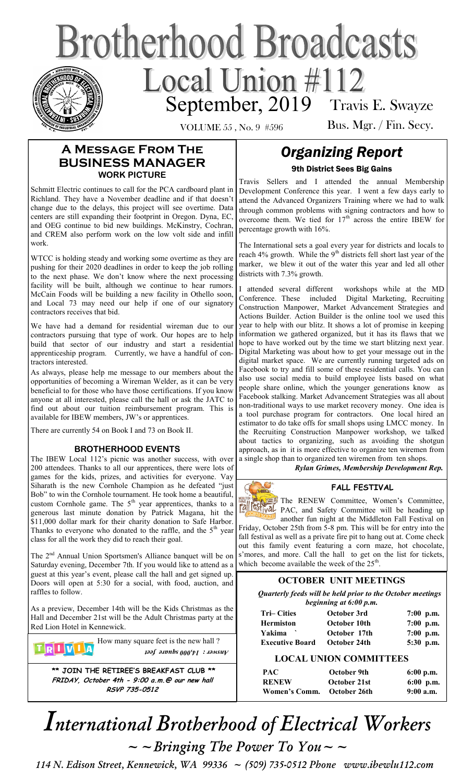# **Brotherhood Broadcasts** September, 2019 Travis E. Swayze

VOLUME 55 , No. 9 #596

Bus. Mgr. / Fin. Secy.

## **A Message From The BUSINESS MANAGER WORK PICTURE**

Schmitt Electric continues to call for the PCA cardboard plant in Richland. They have a November deadline and if that doesn't change due to the delays, this project will see overtime. Data centers are still expanding their footprint in Oregon. Dyna, EC, and OEG continue to bid new buildings. McKinstry, Cochran, and CREM also perform work on the low volt side and infill work.

WTCC is holding steady and working some overtime as they are pushing for their 2020 deadlines in order to keep the job rolling to the next phase. We don't know where the next processing facility will be built, although we continue to hear rumors. McCain Foods will be building a new facility in Othello soon, and Local 73 may need our help if one of our signatory contractors receives that bid.

We have had a demand for residential wireman due to our contractors pursuing that type of work. Our hopes are to help build that sector of our industry and start a residential apprenticeship program. Currently, we have a handful of contractors interested.

As always, please help me message to our members about the opportunities of becoming a Wireman Welder, as it can be very beneficial to for those who have those certifications. If you know anyone at all interested, please call the hall or ask the JATC to find out about our tuition reimbursement program. This is available for IBEW members, JW's or apprentices.

There are currently 54 on Book I and 73 on Book II.

#### **BROTHERHOOD EVENTS**

The IBEW Local 112's picnic was another success, with over 200 attendees. Thanks to all our apprentices, there were lots of games for the kids, prizes, and activities for everyone. Vay Siharath is the new Cornhole Champion as he defeated "just Bob" to win the Cornhole tournament. He took home a beautiful, custom Cornhole game. The  $5<sup>th</sup>$  year apprentices, thanks to a generous last minute donation by Patrick Magana, hit the \$11,000 dollar mark for their charity donation to Safe Harbor. Thanks to everyone who donated to the raffle, and the  $5<sup>th</sup>$  year class for all the work they did to reach their goal.

The 2<sup>nd</sup> Annual Union Sportsmen's Alliance banquet will be on Saturday evening, December 7th. If you would like to attend as a guest at this year's event, please call the hall and get signed up. Doors will open at 5:30 for a social, with food, auction, and raffles to follow.

As a preview, December 14th will be the Kids Christmas as the Hall and December 21st will be the Adult Christmas party at the Red Lion Hotel in Kennewick.

How many square feet is the new hall ?  $T|R| I |V | I |A$ *Answer : 14,000 square feet*

**\*\* JOIN THE RETIREE'S BREAKFAST CLUB \*\* FRIDAY, October 4th - 9:00 a.m.@ our new hall RSVP 735-0512**

# *Organizing Report*  9th District Sees Big Gains

Travis Sellers and I attended the annual Membership Development Conference this year. I went a few days early to attend the Advanced Organizers Training where we had to walk through common problems with signing contractors and how to overcome them. We tied for  $17<sup>th</sup>$  across the entire IBEW for percentage growth with 16%.

The International sets a goal every year for districts and locals to reach  $4\%$  growth. While the 9<sup>th</sup> districts fell short last year of the marker, we blew it out of the water this year and led all other districts with 7.3% growth.

I attended several different workshops while at the MD Conference. These included Digital Marketing, Recruiting Construction Manpower, Market Advancement Strategies and Actions Builder. Action Builder is the online tool we used this year to help with our blitz. It shows a lot of promise in keeping information we gathered organized, but it has its flaws that we hope to have worked out by the time we start blitzing next year. Digital Marketing was about how to get your message out in the digital market space. We are currently running targeted ads on Facebook to try and fill some of these residential calls. You can also use social media to build employee lists based on what people share online, which the younger generations know as Facebook stalking. Market Advancement Strategies was all about non-traditional ways to use market recovery money. One idea is a tool purchase program for contractors. One local hired an estimator to do take offs for small shops using LMCC money. In the Recruiting Construction Manpower workshop, we talked about tactics to organizing, such as avoiding the shotgun approach, as in it is more effective to organize ten wiremen from a single shop than to organized ten wiremen from ten shops.

*Rylan Grimes, Membership Development Rep.*

#### **FALL FESTIVAL**

The RENEW Committee, Women's Committee, PAC, and Safety Committee will be heading up another fun night at the Middleton Fall Festival on

Friday, October 25th from 5-8 pm. This will be for entry into the fall festival as well as a private fire pit to hang out at. Come check out this family event featuring a corn maze, hot chocolate, s'mores, and more. Call the hall to get on the list for tickets, which become available the week of the  $25<sup>th</sup>$ .

#### **OCTOBER UNIT MEETINGS**

*Quarterly feeds will be held prior to the October meetings beginning at 6:00 p.m.* 

| <b>Tri–Cities</b>      | October 3rd  | $7:00$ p.m. |
|------------------------|--------------|-------------|
| <b>Hermiston</b>       | October 10th | $7:00$ p.m. |
| Yakima                 | October 17th | $7:00$ p.m. |
| <b>Executive Board</b> | October 24th | $5:30$ p.m. |
|                        |              |             |

#### **LOCAL UNION COMMITTEES**

| PAC                        | October 9th  | $6:00$ p.m. |
|----------------------------|--------------|-------------|
| <b>RENEW</b>               | October 21st | $6:00$ p.m. |
| Women's Comm. October 26th |              | $9:00$ a.m. |

*International Brotherhood of Electrical Workers*   $\sim$   $\sim$  *Bringing The Power To You*  $\sim$   $\sim$ 

 *114 N. Edison Street, Kennewick, WA 99336 ~ (509) 735-0512 Phone www.ibewlu112.com*